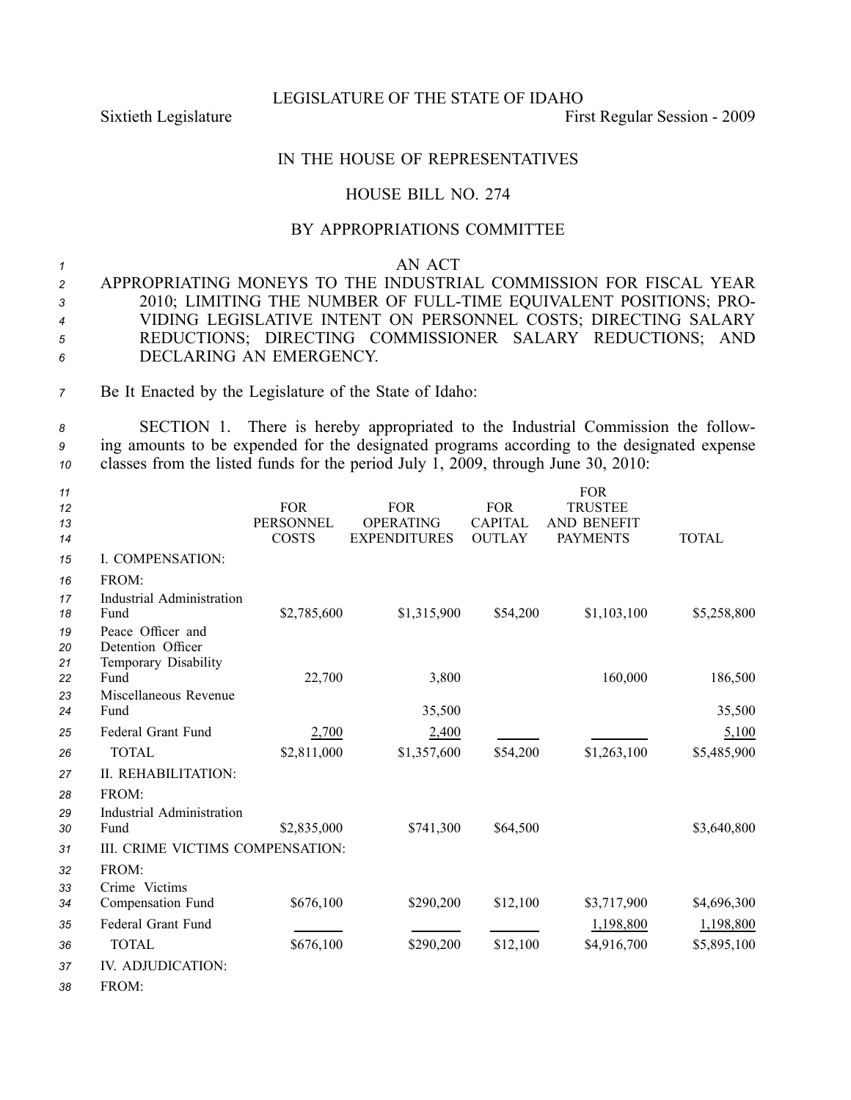LEGISLATURE OF THE STATE OF IDAHO

Sixtieth Legislature First Regular Session - 2009

## IN THE HOUSE OF REPRESENTATIVES

## HOUSE BILL NO. 274

## BY APPROPRIATIONS COMMITTEE

## *<sup>1</sup>* AN ACT

 APPROPRIATING MONEYS TO THE INDUSTRIAL COMMISSION FOR FISCAL YEAR 2010; LIMITING THE NUMBER OF FULLTIME EQUIVALENT POSITIONS; PRO- VIDING LEGISLATIVE INTENT ON PERSONNEL COSTS; DIRECTING SALARY REDUCTIONS; DIRECTING COMMISSIONER SALARY REDUCTIONS; AND DECLARING AN EMERGENCY.

*<sup>7</sup>* Be It Enacted by the Legislature of the State of Idaho:

*<sup>8</sup>* SECTION 1. There is hereby appropriated to the Industrial Commission the follow-*<sup>9</sup>* ing amounts to be expended for the designated programs according to the designated expense *<sup>10</sup>* classes from the listed funds for the period July 1, 2009, through June 30, 2010:

| 11       |                                  |                  |                     |                | <b>FOR</b>         |              |
|----------|----------------------------------|------------------|---------------------|----------------|--------------------|--------------|
| 12       |                                  | <b>FOR</b>       | <b>FOR</b>          | <b>FOR</b>     | <b>TRUSTEE</b>     |              |
| 13       |                                  | <b>PERSONNEL</b> | <b>OPERATING</b>    | <b>CAPITAL</b> | <b>AND BENEFIT</b> |              |
| 14       |                                  | <b>COSTS</b>     | <b>EXPENDITURES</b> | <b>OUTLAY</b>  | <b>PAYMENTS</b>    | <b>TOTAL</b> |
| 15       | I. COMPENSATION:                 |                  |                     |                |                    |              |
| 16       | FROM:                            |                  |                     |                |                    |              |
| 17       | <b>Industrial Administration</b> |                  |                     |                |                    |              |
| 18       | Fund                             | \$2,785,600      | \$1,315,900         | \$54,200       | \$1,103,100        | \$5,258,800  |
| 19       | Peace Officer and                |                  |                     |                |                    |              |
| 20       | Detention Officer                |                  |                     |                |                    |              |
| 21<br>22 | Temporary Disability<br>Fund     | 22,700           | 3,800               |                | 160,000            | 186,500      |
| 23       | Miscellaneous Revenue            |                  |                     |                |                    |              |
| 24       | Fund                             |                  | 35,500              |                |                    | 35,500       |
| 25       | Federal Grant Fund               | 2,700            | 2,400               |                |                    | 5,100        |
| 26       | <b>TOTAL</b>                     | \$2,811,000      | \$1,357,600         | \$54,200       | \$1,263,100        | \$5,485,900  |
| 27       | II. REHABILITATION:              |                  |                     |                |                    |              |
| 28       | FROM:                            |                  |                     |                |                    |              |
| 29       | Industrial Administration        |                  |                     |                |                    |              |
| 30       | Fund                             | \$2,835,000      | \$741,300           | \$64,500       |                    | \$3,640,800  |
| 31       | III. CRIME VICTIMS COMPENSATION: |                  |                     |                |                    |              |
| 32       | FROM:                            |                  |                     |                |                    |              |
| 33       | Crime Victims                    |                  |                     |                |                    |              |
| 34       | Compensation Fund                | \$676,100        | \$290,200           | \$12,100       | \$3,717,900        | \$4,696,300  |
| 35       | Federal Grant Fund               |                  |                     |                | 1,198,800          | 1,198,800    |
| 36       | <b>TOTAL</b>                     | \$676,100        | \$290,200           | \$12,100       | \$4,916,700        | \$5,895,100  |
| 37       | IV. ADJUDICATION:                |                  |                     |                |                    |              |
| 38       | FROM:                            |                  |                     |                |                    |              |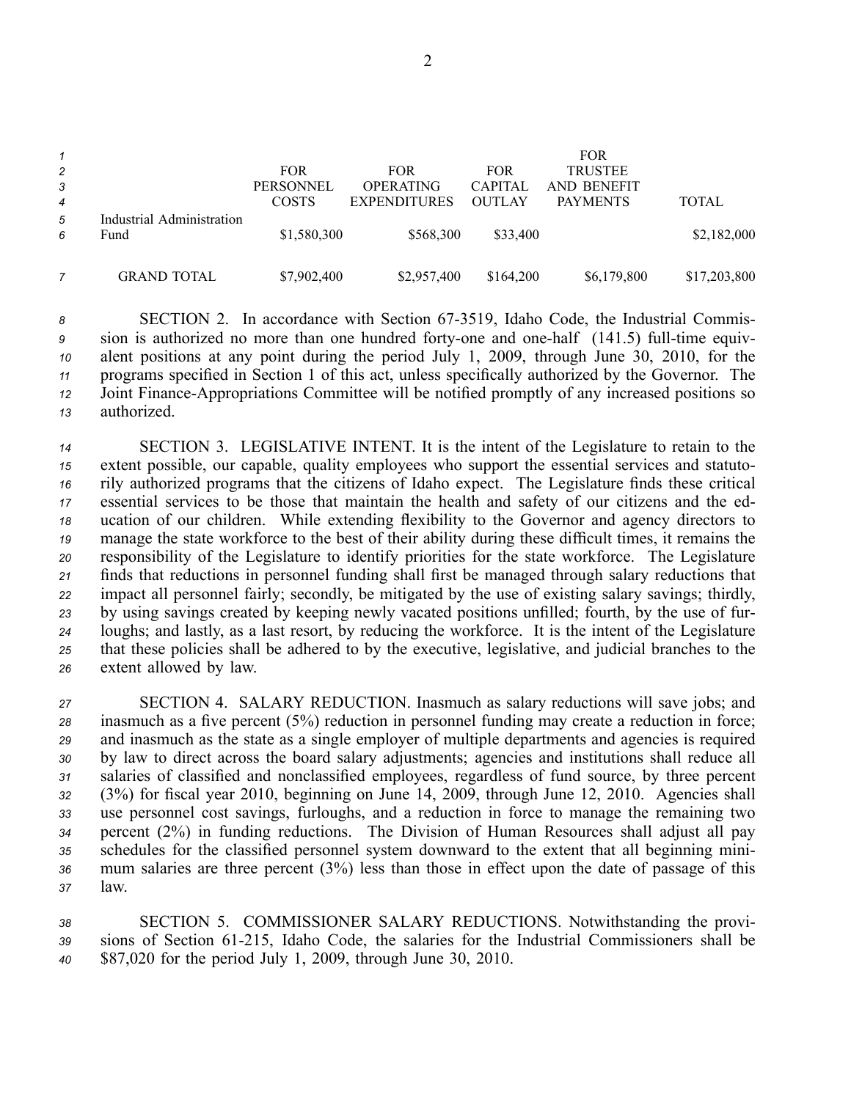|                |                                   |              |                     |                | <b>FOR</b>      |              |
|----------------|-----------------------------------|--------------|---------------------|----------------|-----------------|--------------|
| 2              |                                   | <b>FOR</b>   | <b>FOR</b>          | <b>FOR</b>     | <b>TRUSTEE</b>  |              |
| $\mathbf{3}$   |                                   | PERSONNEL    | <b>OPERATING</b>    | <b>CAPITAL</b> | AND BENEFIT     |              |
| $\overline{4}$ |                                   | <b>COSTS</b> | <b>EXPENDITURES</b> | <b>OUTLAY</b>  | <b>PAYMENTS</b> | <b>TOTAL</b> |
| 5<br>6         | Industrial Administration<br>Fund | \$1,580,300  | \$568,300           | \$33,400       |                 | \$2,182,000  |
|                | <b>GRAND TOTAL</b>                | \$7,902,400  | \$2,957,400         | \$164,200      | \$6,179,800     | \$17,203,800 |

8 SECTION 2. In accordance with Section 67-3519, Idaho Code, the Industrial Commis- sion is authorized no more than one hundred forty-one and one-half (141.5) full-time equiv- alent positions at any point during the period July 1, 2009, through June 30, 2010, for the programs specified in Section 1 of this act, unless specifically authorized by the Governor. The Joint Finance-Appropriations Committee will be notified promptly of any increased positions so authorized.

 SECTION 3. LEGISLATIVE INTENT. It is the intent of the Legislature to retain to the extent possible, our capable, quality employees who suppor<sup>t</sup> the essential services and statuto- rily authorized programs that the citizens of Idaho expect. The Legislature finds these critical essential services to be those that maintain the health and safety of our citizens and the ed- ucation of our children. While extending flexibility to the Governor and agency directors to manage the state workforce to the best of their ability during these difficult times, it remains the responsibility of the Legislature to identify priorities for the state workforce. The Legislature finds that reductions in personnel funding shall first be managed through salary reductions that impact all personnel fairly; secondly, be mitigated by the use of existing salary savings; thirdly, by using savings created by keeping newly vacated positions unfilled; fourth, by the use of fur- loughs; and lastly, as <sup>a</sup> last resort, by reducing the workforce. It is the intent of the Legislature that these policies shall be adhered to by the executive, legislative, and judicial branches to the extent allowed by law.

 SECTION 4. SALARY REDUCTION. Inasmuch as salary reductions will save jobs; and inasmuch as <sup>a</sup> five percen<sup>t</sup> (5%) reduction in personnel funding may create <sup>a</sup> reduction in force; and inasmuch as the state as <sup>a</sup> single employer of multiple departments and agencies is required by law to direct across the board salary adjustments; agencies and institutions shall reduce all salaries of classified and nonclassified employees, regardless of fund source, by three percen<sup>t</sup> (3%) for fiscal year 2010, beginning on June 14, 2009, through June 12, 2010. Agencies shall use personnel cost savings, furloughs, and <sup>a</sup> reduction in force to manage the remaining two percen<sup>t</sup> (2%) in funding reductions. The Division of Human Resources shall adjust all pay schedules for the classified personnel system downward to the extent that all beginning mini- mum salaries are three percen<sup>t</sup> (3%) less than those in effect upon the date of passage of this *<sup>37</sup>* law.

*<sup>38</sup>* SECTION 5. COMMISSIONER SALARY REDUCTIONS. Notwithstanding the provi-*<sup>39</sup>* sions of Section 61215, Idaho Code, the salaries for the Industrial Commissioners shall be *<sup>40</sup>* \$87,020 for the period July 1, 2009, through June 30, 2010.